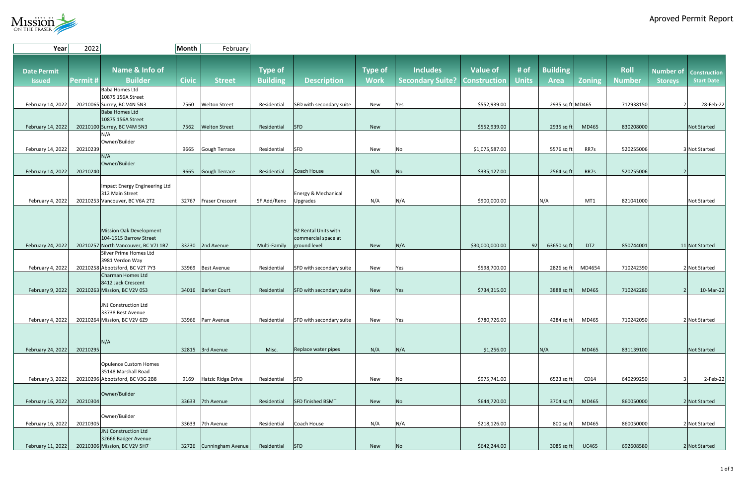## Aproved Permit Report



| Year               | 2022           |                                                                | Month        | February                |                 |                          |                |                         |                     |              |                  |                 |               |                                         |
|--------------------|----------------|----------------------------------------------------------------|--------------|-------------------------|-----------------|--------------------------|----------------|-------------------------|---------------------|--------------|------------------|-----------------|---------------|-----------------------------------------|
|                    |                |                                                                |              |                         |                 |                          |                |                         |                     |              |                  |                 |               |                                         |
|                    |                | Name & Info of                                                 |              |                         |                 |                          |                | <b>Includes</b>         | <b>Value of</b>     | # of         | <b>Building</b>  |                 | <b>Roll</b>   |                                         |
| <b>Date Permit</b> |                |                                                                |              |                         | <b>Type of</b>  |                          | <b>Type of</b> |                         |                     |              |                  |                 |               | <b>Number of</b><br><b>Construction</b> |
| <b>Issued</b>      | <b>Permit#</b> | <b>Builder</b>                                                 | <b>Civic</b> | <b>Street</b>           | <b>Building</b> | <b>Description</b>       | <b>Work</b>    | <b>Secondary Suite?</b> | <b>Construction</b> | <b>Units</b> | <b>Area</b>      | <b>Zoning</b>   | <b>Number</b> | <b>Start Date</b><br><b>Storeys</b>     |
|                    |                | Baba Homes Ltd                                                 |              |                         |                 |                          |                |                         |                     |              |                  |                 |               |                                         |
|                    |                | 10875 156A Street                                              |              |                         |                 |                          |                |                         |                     |              |                  |                 |               |                                         |
| February 14, 2022  |                | 20210065 Surrey, BC V4N 5N3                                    | 7560         | <b>Welton Street</b>    | Residential     | SFD with secondary suite | New            | Yes                     | \$552,939.00        |              | 2935 sq ft MD465 |                 | 712938150     | 28-Feb-22<br>2 <sup>1</sup>             |
|                    |                | Baba Homes Ltd<br>10875 156A Street                            |              |                         |                 |                          |                |                         |                     |              |                  |                 |               |                                         |
| February 14, 2022  |                | 20210100 Surrey, BC V4M 5N3                                    | 7562         | <b>Welton Street</b>    | Residential     | $ $ SFD                  | New            |                         | \$552,939.00        |              | 2935 sq ft       | MD465           | 830208000     | <b>Not Started</b>                      |
|                    |                | N/A                                                            |              |                         |                 |                          |                |                         |                     |              |                  |                 |               |                                         |
|                    |                | Owner/Builder                                                  |              |                         |                 |                          |                |                         |                     |              |                  |                 |               |                                         |
| February 14, 2022  | 20210239       |                                                                | 9665         | Gough Terrace           | Residential     | <b>SFD</b>               | New            | No                      | \$1,075,587.00      |              | 5576 sq ft       | RR7s            | 520255006     | 3 Not Started                           |
|                    |                | N/A                                                            |              |                         |                 |                          |                |                         |                     |              |                  |                 |               |                                         |
|                    |                | Owner/Builder                                                  |              |                         |                 |                          |                |                         |                     |              |                  |                 |               |                                         |
| February 14, 2022  | 20210240       |                                                                | 9665         | Gough Terrace           | Residential     | Coach House              | N/A            | <b>No</b>               | \$335,127.00        |              | 2564 sq ft       | RR7s            | 520255006     | 2                                       |
|                    |                | Impact Energy Engineering Ltd                                  |              |                         |                 |                          |                |                         |                     |              |                  |                 |               |                                         |
|                    |                | 312 Main Street                                                |              |                         |                 | Energy & Mechanical      |                |                         |                     |              |                  |                 |               |                                         |
| February 4, 2022   |                | 20210253 Vancouver, BC V6A 2T2                                 |              | 32767 Fraser Crescent   | SF Add/Reno     | Upgrades                 | N/A            | N/A                     | \$900,000.00        |              | N/A              | MT1             | 821041000     | <b>Not Started</b>                      |
|                    |                |                                                                |              |                         |                 |                          |                |                         |                     |              |                  |                 |               |                                         |
|                    |                |                                                                |              |                         |                 |                          |                |                         |                     |              |                  |                 |               |                                         |
|                    |                |                                                                |              |                         |                 |                          |                |                         |                     |              |                  |                 |               |                                         |
|                    |                | Mission Oak Development                                        |              |                         |                 | 92 Rental Units with     |                |                         |                     |              |                  |                 |               |                                         |
|                    |                | 104-1515 Barrow Street                                         |              |                         |                 | commercial space at      |                |                         |                     |              |                  |                 |               |                                         |
| February 24, 2022  |                | 20210257 North Vancouver, BC V7J 1B7<br>Silver Prime Homes Ltd |              | 33230 2nd Avenue        | Multi-Family    | ground level             | <b>New</b>     | N/A                     | \$30,000,000.00     | 92           | 63650 sq ft      | DT <sub>2</sub> | 850744001     | 11 Not Started                          |
|                    |                | 3981 Verdon Way                                                |              |                         |                 |                          |                |                         |                     |              |                  |                 |               |                                         |
| February 4, 2022   |                | 20210258 Abbotsford, BC V2T 7Y3                                |              | 33969 Best Avenue       | Residential     | SFD with secondary suite | New            | Yes                     | \$598,700.00        |              | $2826$ sq ft     | MD4654          | 710242390     | 2 Not Started                           |
|                    |                | Charman Homes Ltd                                              |              |                         |                 |                          |                |                         |                     |              |                  |                 |               |                                         |
|                    |                | 8412 Jack Crescent                                             |              |                         |                 |                          |                |                         |                     |              |                  |                 |               |                                         |
| February 9, 2022   |                | 20210263 Mission, BC V2V 0S3                                   |              | 34016   Barker Court    | Residential     | SFD with secondary suite | New            | Yes                     | \$734,315.00        |              | 3888 sq ft       | MD465           | 710242280     | $10$ -Mar-22<br>2 <sup>1</sup>          |
|                    |                |                                                                |              |                         |                 |                          |                |                         |                     |              |                  |                 |               |                                         |
|                    |                | JNJ Construction Ltd<br>33738 Best Avenue                      |              |                         |                 |                          |                |                         |                     |              |                  |                 |               |                                         |
| February 4, 2022   |                | 20210264 Mission, BC V2V 6Z9                                   |              | 33966 Parr Avenue       | Residential     | SFD with secondary suite | New            | Yes                     | \$780,726.00        |              | 4284 sq ft       | MD465           | 710242050     | 2 Not Started                           |
|                    |                |                                                                |              |                         |                 |                          |                |                         |                     |              |                  |                 |               |                                         |
|                    |                |                                                                |              |                         |                 |                          |                |                         |                     |              |                  |                 |               |                                         |
|                    |                | N/A                                                            |              |                         |                 |                          |                |                         |                     |              |                  |                 |               |                                         |
| February 24, 2022  | 20210295       |                                                                |              | $32815$ 3rd Avenue      | Misc.           | Replace water pipes      | N/A            | N/A                     | \$1,256.00          |              | N/A              | MD465           | 831139100     | Not Started                             |
|                    |                |                                                                |              |                         |                 |                          |                |                         |                     |              |                  |                 |               |                                         |
|                    |                | Opulence Custom Homes                                          |              |                         |                 |                          |                |                         |                     |              |                  |                 |               |                                         |
|                    |                | 35148 Marshall Road<br>20210296 Abbotsford, BC V3G 2B8         |              |                         |                 | <b>SFD</b>               |                |                         |                     |              |                  |                 |               |                                         |
| February 3, 2022   |                |                                                                | 9169         | Hatzic Ridge Drive      | Residential     |                          | New            | No                      | \$975,741.00        |              | $6523$ sq ft     | CD14            | 640299250     | $2$ -Feb-22                             |
|                    |                | Owner/Builder                                                  |              |                         |                 |                          |                |                         |                     |              |                  |                 |               |                                         |
| February 16, 2022  | 20210304       |                                                                |              | 33633 7th Avenue        | Residential     | SFD finished BSMT        | New            | No                      | \$644,720.00        |              | $3704$ sq ft     | MD465           | 860050000     | 2 Not Started                           |
|                    |                |                                                                |              |                         |                 |                          |                |                         |                     |              |                  |                 |               |                                         |
|                    |                | Owner/Builder                                                  |              |                         |                 |                          |                |                         |                     |              |                  |                 |               |                                         |
| February 16, 2022  | 20210305       |                                                                |              | 33633 7th Avenue        | Residential     | Coach House              | N/A            | N/A                     | \$218,126.00        |              | $800$ sq ft      | MD465           | 860050000     | 2 Not Started                           |
|                    |                | JNJ Construction Ltd                                           |              |                         |                 |                          |                |                         |                     |              |                  |                 |               |                                         |
| February 11, 2022  |                | 32666 Badger Avenue<br>20210306 Mission, BC V2V 5H7            |              | 32726 Cunningham Avenue | Residential SFD |                          | New            |                         | \$642,244.00        |              | $3085$ sq ft     | <b>UC465</b>    | 692608580     | $2$ Not Started                         |
|                    |                |                                                                |              |                         |                 |                          |                | No                      |                     |              |                  |                 |               |                                         |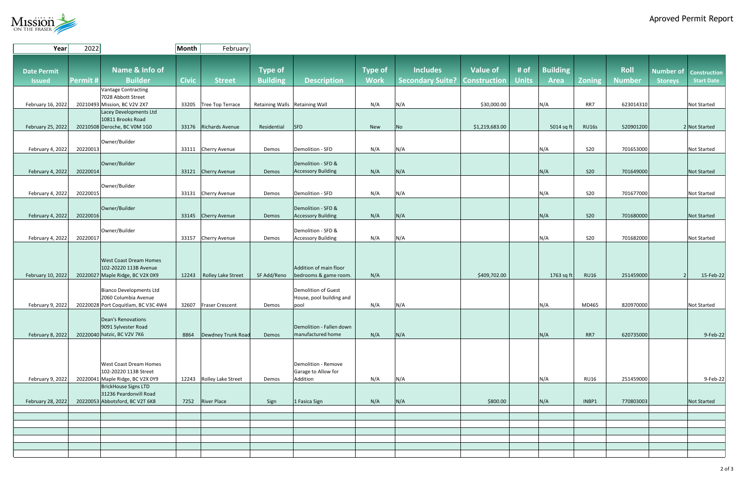## Aproved Permit Report



| Year               | 2022                                                        | Month        | February                   |                                |                                                 |                |                         |                     |              |                 |               |               |                                     |
|--------------------|-------------------------------------------------------------|--------------|----------------------------|--------------------------------|-------------------------------------------------|----------------|-------------------------|---------------------|--------------|-----------------|---------------|---------------|-------------------------------------|
|                    |                                                             |              |                            |                                |                                                 |                |                         |                     |              |                 |               |               |                                     |
| <b>Date Permit</b> | Name & Info of                                              |              |                            | <b>Type of</b>                 |                                                 | <b>Type of</b> | <b>Includes</b>         | <b>Value of</b>     | # of         | <b>Building</b> |               | <b>Roll</b>   | Number of<br>Construction           |
| <b>Issued</b>      | <b>Builder</b><br>Permit #                                  | <b>Civic</b> | <b>Street</b>              | <b>Building</b>                | <b>Description</b>                              | <b>Work</b>    | <b>Secondary Suite?</b> | <b>Construction</b> | <b>Units</b> | <b>Area</b>     | <b>Zoning</b> | <b>Number</b> | <b>Start Date</b><br><b>Storeys</b> |
|                    | Vantage Contracting                                         |              |                            |                                |                                                 |                |                         |                     |              |                 |               |               |                                     |
|                    | 7028 Abbott Street                                          |              |                            |                                |                                                 |                |                         |                     |              |                 |               |               |                                     |
| February 16, 2022  | 20210493 Mission, BC V2V 2X7<br>Lacey Developments Ltd      |              | 33205 Tree Top Terrace     | Retaining Walls Retaining Wall |                                                 | N/A            | N/A                     | \$30,000.00         |              | N/A             | RR7           | 623014310     | <b>Not Started</b>                  |
|                    | 10811 Brooks Road                                           |              |                            |                                |                                                 |                |                         |                     |              |                 |               |               |                                     |
| February 25, 2022  | 20210508 Deroche, BC V0M 1G0                                |              | 33176 Richards Avenue      | Residential                    | <b>SFD</b>                                      | New            | No                      | \$1,219,683.00      |              | 5014 sq ft      | <b>RU16s</b>  | 520901200     | 2 Not Started                       |
|                    |                                                             |              |                            |                                |                                                 |                |                         |                     |              |                 |               |               |                                     |
| February 4, 2022   | Owner/Builder<br>20220013                                   |              | 33111 Cherry Avenue        | Demos                          | Demolition - SFD                                | N/A            | N/A                     |                     |              | N/A             | <b>S20</b>    | 701653000     | <b>Not Started</b>                  |
|                    |                                                             |              |                            |                                |                                                 |                |                         |                     |              |                 |               |               |                                     |
|                    | Owner/Builder                                               |              |                            |                                | Demolition - SFD &                              |                |                         |                     |              |                 |               |               |                                     |
| February 4, 2022   | 20220014                                                    |              | 33121 Cherry Avenue        | Demos                          | <b>Accessory Building</b>                       | N/A            | N/A                     |                     |              | N/A             | <b>S20</b>    | 701649000     | <b>Not Started</b>                  |
|                    | Owner/Builder                                               |              |                            |                                |                                                 |                |                         |                     |              |                 |               |               |                                     |
| February 4, 2022   | 20220015                                                    |              | 33131 Cherry Avenue        | Demos                          | Demolition - SFD                                | N/A            | N/A                     |                     |              | N/A             | <b>S20</b>    | 701677000     | <b>Not Started</b>                  |
|                    | Owner/Builder                                               |              |                            |                                | Demolition - SFD &                              |                |                         |                     |              |                 |               |               |                                     |
| February 4, 2022   | 20220016                                                    |              | 33145 Cherry Avenue        | Demos                          | <b>Accessory Building</b>                       | N/A            | N/A                     |                     |              | N/A             | <b>S20</b>    | 701680000     | <b>Not Started</b>                  |
|                    |                                                             |              |                            |                                |                                                 |                |                         |                     |              |                 |               |               |                                     |
|                    | Owner/Builder                                               |              |                            |                                | Demolition - SFD &                              |                |                         |                     |              |                 |               |               |                                     |
| February 4, 2022   | 20220017                                                    |              | 33157 Cherry Avenue        | Demos                          | <b>Accessory Building</b>                       | N/A            | N/A                     |                     |              | N/A             | <b>S20</b>    | 701682000     | <b>Not Started</b>                  |
|                    |                                                             |              |                            |                                |                                                 |                |                         |                     |              |                 |               |               |                                     |
|                    | <b>West Coast Dream Homes</b>                               |              |                            |                                |                                                 |                |                         |                     |              |                 |               |               |                                     |
| February 10, 2022  | 102-20220 113B Avenue<br>20220027 Maple Ridge, BC V2X 0X9   |              | 12243   Rolley Lake Street | SF Add/Reno                    | Addition of main floor<br>bedrooms & game room. | N/A            |                         | \$409,702.00        |              | 1763 sq ft      | <b>RU16</b>   | 251459000     | $15$ -Feb-22<br>2                   |
|                    |                                                             |              |                            |                                |                                                 |                |                         |                     |              |                 |               |               |                                     |
|                    | Bianco Developments Ltd                                     |              |                            |                                | Demolition of Guest                             |                |                         |                     |              |                 |               |               |                                     |
| February 9, 2022   | 2060 Columbia Avenue<br>20220028 Port Coquitlam, BC V3C 4W4 |              | 32607 Fraser Crescent      | Demos                          | House, pool building and<br>pool                | N/A            | N/A                     |                     |              | N/A             | MD465         | 820970000     | <b>Not Started</b>                  |
|                    |                                                             |              |                            |                                |                                                 |                |                         |                     |              |                 |               |               |                                     |
|                    | Dean's Renovations                                          |              |                            |                                |                                                 |                |                         |                     |              |                 |               |               |                                     |
| February 8, 2022   | 9091 Sylvester Road<br>20220040 hatzic, BC V2V 7K6          | 8864         | Dewdney Trunk Road         | Demos                          | Demolition - Fallen down<br>manufactured home   | N/A            |                         |                     |              | N/A             | RR7           | 620735000     | $9$ -Feb-22                         |
|                    |                                                             |              |                            |                                |                                                 |                | N/A                     |                     |              |                 |               |               |                                     |
|                    |                                                             |              |                            |                                |                                                 |                |                         |                     |              |                 |               |               |                                     |
|                    |                                                             |              |                            |                                | Demolition - Remove                             |                |                         |                     |              |                 |               |               |                                     |
|                    | <b>West Coast Dream Homes</b><br>102-20220 113B Street      |              |                            |                                | Garage to Allow for                             |                |                         |                     |              |                 |               |               |                                     |
| February 9, 2022   | 20220041 Maple Ridge, BC V2X 0Y9                            |              | 12243 Rolley Lake Street   | Demos                          | Addition                                        | N/A            | N/A                     |                     |              | N/A             | <b>RU16</b>   | 251459000     | $9$ -Feb-22                         |
|                    | BrickHouse Signs LTD                                        |              |                            |                                |                                                 |                |                         |                     |              |                 |               |               |                                     |
| February 28, 2022  | 31236 Peardonvill Road<br>20220053 Abbotsford, BC V2T 6K8   |              | 7252 River Place           | Sign                           | 1 Fasica Sign                                   | N/A            | N/A                     | \$800.00            |              | N/A             | INBP1         | 770803003     | Not Started                         |
|                    |                                                             |              |                            |                                |                                                 |                |                         |                     |              |                 |               |               |                                     |
|                    |                                                             |              |                            |                                |                                                 |                |                         |                     |              |                 |               |               |                                     |
|                    |                                                             |              |                            |                                |                                                 |                |                         |                     |              |                 |               |               |                                     |
|                    |                                                             |              |                            |                                |                                                 |                |                         |                     |              |                 |               |               |                                     |
|                    |                                                             |              |                            |                                |                                                 |                |                         |                     |              |                 |               |               |                                     |
|                    |                                                             |              |                            |                                |                                                 |                |                         |                     |              |                 |               |               |                                     |